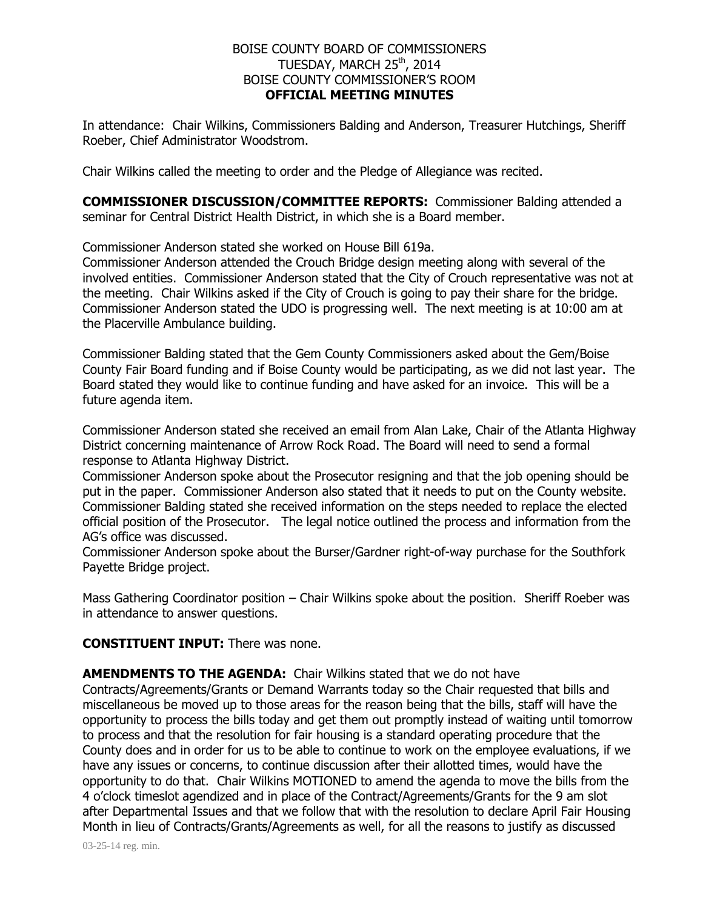## BOISE COUNTY BOARD OF COMMISSIONERS TUESDAY, MARCH 25th, 2014 BOISE COUNTY COMMISSIONER'S ROOM **OFFICIAL MEETING MINUTES**

In attendance: Chair Wilkins, Commissioners Balding and Anderson, Treasurer Hutchings, Sheriff Roeber, Chief Administrator Woodstrom.

Chair Wilkins called the meeting to order and the Pledge of Allegiance was recited.

**COMMISSIONER DISCUSSION/COMMITTEE REPORTS:** Commissioner Balding attended a seminar for Central District Health District, in which she is a Board member.

Commissioner Anderson stated she worked on House Bill 619a.

Commissioner Anderson attended the Crouch Bridge design meeting along with several of the involved entities. Commissioner Anderson stated that the City of Crouch representative was not at the meeting. Chair Wilkins asked if the City of Crouch is going to pay their share for the bridge. Commissioner Anderson stated the UDO is progressing well. The next meeting is at 10:00 am at the Placerville Ambulance building.

Commissioner Balding stated that the Gem County Commissioners asked about the Gem/Boise County Fair Board funding and if Boise County would be participating, as we did not last year. The Board stated they would like to continue funding and have asked for an invoice. This will be a future agenda item.

Commissioner Anderson stated she received an email from Alan Lake, Chair of the Atlanta Highway District concerning maintenance of Arrow Rock Road. The Board will need to send a formal response to Atlanta Highway District.

Commissioner Anderson spoke about the Prosecutor resigning and that the job opening should be put in the paper. Commissioner Anderson also stated that it needs to put on the County website. Commissioner Balding stated she received information on the steps needed to replace the elected official position of the Prosecutor. The legal notice outlined the process and information from the AG's office was discussed.

Commissioner Anderson spoke about the Burser/Gardner right-of-way purchase for the Southfork Payette Bridge project.

Mass Gathering Coordinator position – Chair Wilkins spoke about the position. Sheriff Roeber was in attendance to answer questions.

## **CONSTITUENT INPUT:** There was none.

**AMENDMENTS TO THE AGENDA:** Chair Wilkins stated that we do not have

Contracts/Agreements/Grants or Demand Warrants today so the Chair requested that bills and miscellaneous be moved up to those areas for the reason being that the bills, staff will have the opportunity to process the bills today and get them out promptly instead of waiting until tomorrow to process and that the resolution for fair housing is a standard operating procedure that the County does and in order for us to be able to continue to work on the employee evaluations, if we have any issues or concerns, to continue discussion after their allotted times, would have the opportunity to do that. Chair Wilkins MOTIONED to amend the agenda to move the bills from the 4 o'clock timeslot agendized and in place of the Contract/Agreements/Grants for the 9 am slot after Departmental Issues and that we follow that with the resolution to declare April Fair Housing Month in lieu of Contracts/Grants/Agreements as well, for all the reasons to justify as discussed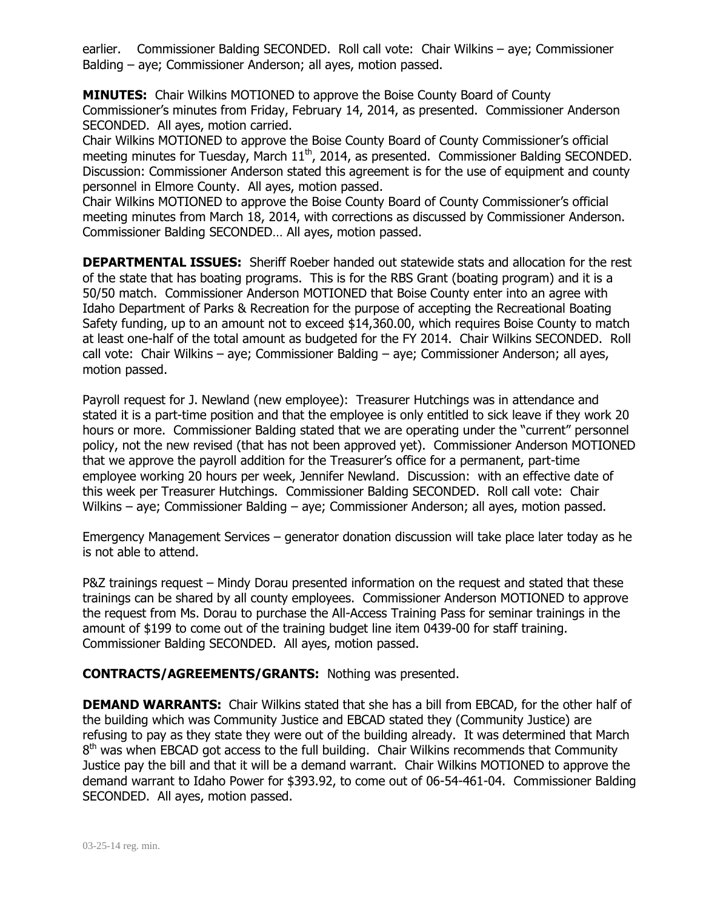earlier. Commissioner Balding SECONDED. Roll call vote: Chair Wilkins – aye; Commissioner Balding – aye; Commissioner Anderson; all ayes, motion passed.

**MINUTES:** Chair Wilkins MOTIONED to approve the Boise County Board of County Commissioner's minutes from Friday, February 14, 2014, as presented. Commissioner Anderson SECONDED. All ayes, motion carried.

Chair Wilkins MOTIONED to approve the Boise County Board of County Commissioner's official meeting minutes for Tuesday, March 11<sup>th</sup>, 2014, as presented. Commissioner Balding SECONDED. Discussion: Commissioner Anderson stated this agreement is for the use of equipment and county personnel in Elmore County. All ayes, motion passed.

Chair Wilkins MOTIONED to approve the Boise County Board of County Commissioner's official meeting minutes from March 18, 2014, with corrections as discussed by Commissioner Anderson. Commissioner Balding SECONDED… All ayes, motion passed.

**DEPARTMENTAL ISSUES:** Sheriff Roeber handed out statewide stats and allocation for the rest of the state that has boating programs. This is for the RBS Grant (boating program) and it is a 50/50 match. Commissioner Anderson MOTIONED that Boise County enter into an agree with Idaho Department of Parks & Recreation for the purpose of accepting the Recreational Boating Safety funding, up to an amount not to exceed \$14,360.00, which requires Boise County to match at least one-half of the total amount as budgeted for the FY 2014. Chair Wilkins SECONDED. Roll call vote: Chair Wilkins – aye; Commissioner Balding – aye; Commissioner Anderson; all ayes, motion passed.

Payroll request for J. Newland (new employee): Treasurer Hutchings was in attendance and stated it is a part-time position and that the employee is only entitled to sick leave if they work 20 hours or more. Commissioner Balding stated that we are operating under the "current" personnel policy, not the new revised (that has not been approved yet). Commissioner Anderson MOTIONED that we approve the payroll addition for the Treasurer's office for a permanent, part-time employee working 20 hours per week, Jennifer Newland. Discussion: with an effective date of this week per Treasurer Hutchings. Commissioner Balding SECONDED. Roll call vote: Chair Wilkins – aye; Commissioner Balding – aye; Commissioner Anderson; all ayes, motion passed.

Emergency Management Services – generator donation discussion will take place later today as he is not able to attend.

P&Z trainings request – Mindy Dorau presented information on the request and stated that these trainings can be shared by all county employees. Commissioner Anderson MOTIONED to approve the request from Ms. Dorau to purchase the All-Access Training Pass for seminar trainings in the amount of \$199 to come out of the training budget line item 0439-00 for staff training. Commissioner Balding SECONDED. All ayes, motion passed.

## **CONTRACTS/AGREEMENTS/GRANTS:** Nothing was presented.

**DEMAND WARRANTS:** Chair Wilkins stated that she has a bill from EBCAD, for the other half of the building which was Community Justice and EBCAD stated they (Community Justice) are refusing to pay as they state they were out of the building already. It was determined that March 8<sup>th</sup> was when EBCAD got access to the full building. Chair Wilkins recommends that Community Justice pay the bill and that it will be a demand warrant. Chair Wilkins MOTIONED to approve the demand warrant to Idaho Power for \$393.92, to come out of 06-54-461-04. Commissioner Balding SECONDED. All ayes, motion passed.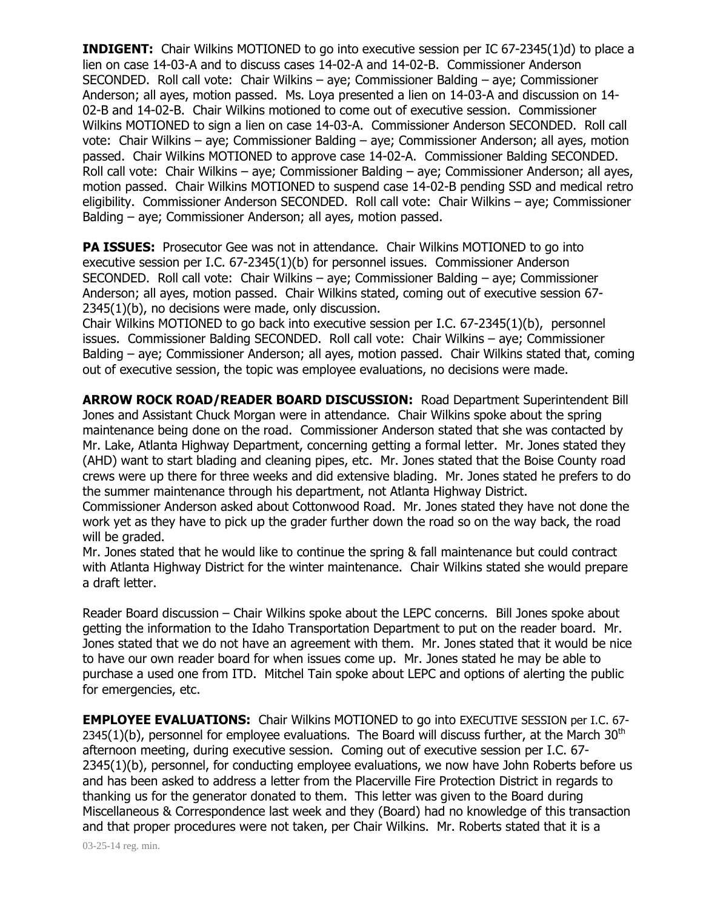**INDIGENT:** Chair Wilkins MOTIONED to go into executive session per IC 67-2345(1)d) to place a lien on case 14-03-A and to discuss cases 14-02-A and 14-02-B. Commissioner Anderson SECONDED. Roll call vote: Chair Wilkins – aye; Commissioner Balding – aye; Commissioner Anderson; all ayes, motion passed. Ms. Loya presented a lien on 14-03-A and discussion on 14- 02-B and 14-02-B. Chair Wilkins motioned to come out of executive session. Commissioner Wilkins MOTIONED to sign a lien on case 14-03-A. Commissioner Anderson SECONDED. Roll call vote: Chair Wilkins – aye; Commissioner Balding – aye; Commissioner Anderson; all ayes, motion passed. Chair Wilkins MOTIONED to approve case 14-02-A. Commissioner Balding SECONDED. Roll call vote: Chair Wilkins – aye; Commissioner Balding – aye; Commissioner Anderson; all ayes, motion passed. Chair Wilkins MOTIONED to suspend case 14-02-B pending SSD and medical retro eligibility. Commissioner Anderson SECONDED. Roll call vote: Chair Wilkins – aye; Commissioner Balding – aye; Commissioner Anderson; all ayes, motion passed.

**PA ISSUES:** Prosecutor Gee was not in attendance. Chair Wilkins MOTIONED to go into executive session per I.C. 67-2345(1)(b) for personnel issues. Commissioner Anderson SECONDED. Roll call vote: Chair Wilkins – aye; Commissioner Balding – aye; Commissioner Anderson; all ayes, motion passed. Chair Wilkins stated, coming out of executive session 67- 2345(1)(b), no decisions were made, only discussion.

Chair Wilkins MOTIONED to go back into executive session per I.C. 67-2345(1)(b), personnel issues. Commissioner Balding SECONDED. Roll call vote: Chair Wilkins – aye; Commissioner Balding – aye; Commissioner Anderson; all ayes, motion passed. Chair Wilkins stated that, coming out of executive session, the topic was employee evaluations, no decisions were made.

**ARROW ROCK ROAD/READER BOARD DISCUSSION:** Road Department Superintendent Bill Jones and Assistant Chuck Morgan were in attendance. Chair Wilkins spoke about the spring maintenance being done on the road. Commissioner Anderson stated that she was contacted by Mr. Lake, Atlanta Highway Department, concerning getting a formal letter. Mr. Jones stated they (AHD) want to start blading and cleaning pipes, etc. Mr. Jones stated that the Boise County road crews were up there for three weeks and did extensive blading. Mr. Jones stated he prefers to do the summer maintenance through his department, not Atlanta Highway District.

Commissioner Anderson asked about Cottonwood Road. Mr. Jones stated they have not done the work yet as they have to pick up the grader further down the road so on the way back, the road will be graded.

Mr. Jones stated that he would like to continue the spring & fall maintenance but could contract with Atlanta Highway District for the winter maintenance. Chair Wilkins stated she would prepare a draft letter.

Reader Board discussion – Chair Wilkins spoke about the LEPC concerns. Bill Jones spoke about getting the information to the Idaho Transportation Department to put on the reader board. Mr. Jones stated that we do not have an agreement with them. Mr. Jones stated that it would be nice to have our own reader board for when issues come up. Mr. Jones stated he may be able to purchase a used one from ITD. Mitchel Tain spoke about LEPC and options of alerting the public for emergencies, etc.

**EMPLOYEE EVALUATIONS:** Chair Wilkins MOTIONED to go into EXECUTIVE SESSION per I.C. 67- 2345(1)(b), personnel for employee evaluations. The Board will discuss further, at the March  $30<sup>th</sup>$ afternoon meeting, during executive session. Coming out of executive session per I.C. 67- 2345(1)(b), personnel, for conducting employee evaluations, we now have John Roberts before us and has been asked to address a letter from the Placerville Fire Protection District in regards to thanking us for the generator donated to them. This letter was given to the Board during Miscellaneous & Correspondence last week and they (Board) had no knowledge of this transaction and that proper procedures were not taken, per Chair Wilkins. Mr. Roberts stated that it is a